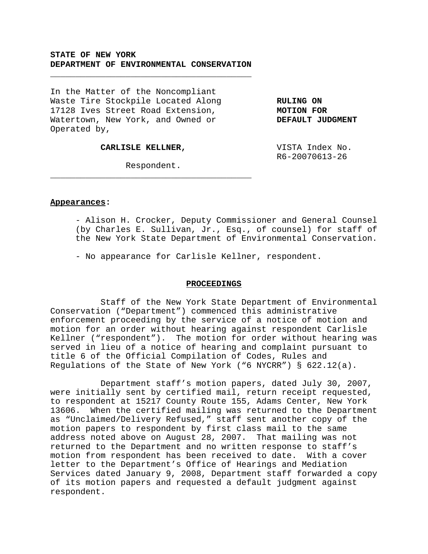# **STATE OF NEW YORK DEPARTMENT OF ENVIRONMENTAL CONSERVATION**

\_\_\_\_\_\_\_\_\_\_\_\_\_\_\_\_\_\_\_\_\_\_\_\_\_\_\_\_\_\_\_\_\_\_\_\_\_\_\_\_

In the Matter of the Noncompliant Waste Tire Stockpile Located Along **RULING ON** 17128 Ives Street Road Extension, **MOTION FOR** Watertown, New York, and Owned or **DEFAULT JUDGMENT** Operated by,

**CARLISLE KELLNER,** VISTA Index No.

R6-20070613-26

Respondent. \_\_\_\_\_\_\_\_\_\_\_\_\_\_\_\_\_\_\_\_\_\_\_\_\_\_\_\_\_\_\_\_\_\_\_\_\_\_\_\_

#### **Appearances:**

- Alison H. Crocker, Deputy Commissioner and General Counsel (by Charles E. Sullivan, Jr., Esq., of counsel) for staff of the New York State Department of Environmental Conservation.

- No appearance for Carlisle Kellner, respondent.

#### **PROCEEDINGS**

Staff of the New York State Department of Environmental Conservation ("Department") commenced this administrative enforcement proceeding by the service of a notice of motion and motion for an order without hearing against respondent Carlisle Kellner ("respondent"). The motion for order without hearing was served in lieu of a notice of hearing and complaint pursuant to title 6 of the Official Compilation of Codes, Rules and Regulations of the State of New York ("6 NYCRR") § 622.12(a).

Department staff's motion papers, dated July 30, 2007, were initially sent by certified mail, return receipt requested, to respondent at 15217 County Route 155, Adams Center, New York 13606. When the certified mailing was returned to the Department as "Unclaimed/Delivery Refused," staff sent another copy of the motion papers to respondent by first class mail to the same address noted above on August 28, 2007. That mailing was not returned to the Department and no written response to staff's motion from respondent has been received to date. With a cover letter to the Department's Office of Hearings and Mediation Services dated January 9, 2008, Department staff forwarded a copy of its motion papers and requested a default judgment against respondent.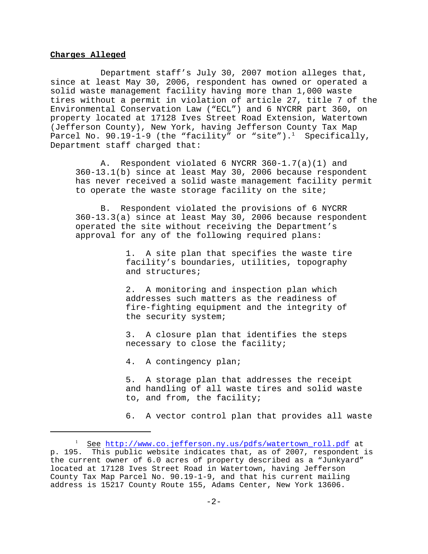## **Charges Alleged**

Department staff's July 30, 2007 motion alleges that, since at least May 30, 2006, respondent has owned or operated a solid waste management facility having more than 1,000 waste tires without a permit in violation of article 27, title 7 of the Environmental Conservation Law ("ECL") and 6 NYCRR part 360, on property located at 17128 Ives Street Road Extension, Watertown (Jefferson County), New York, having Jefferson County Tax Map Parcel No. 90.19-1-9 (the "facility" or "site").<sup>1</sup> Specifically, Department staff charged that:

A. Respondent violated 6 NYCRR 360-1.7(a)(1) and 360-13.1(b) since at least May 30, 2006 because respondent has never received a solid waste management facility permit to operate the waste storage facility on the site;

B. Respondent violated the provisions of 6 NYCRR 360-13.3(a) since at least May 30, 2006 because respondent operated the site without receiving the Department's approval for any of the following required plans:

> 1. A site plan that specifies the waste tire facility's boundaries, utilities, topography and structures;

2. A monitoring and inspection plan which addresses such matters as the readiness of fire-fighting equipment and the integrity of the security system;

3. A closure plan that identifies the steps necessary to close the facility;

4. A contingency plan;

5. A storage plan that addresses the receipt and handling of all waste tires and solid waste to, and from, the facility;

6. A vector control plan that provides all waste

<sup>&</sup>lt;sup>1</sup> See http://www.co.jefferson.ny.us/pdfs/watertown\_roll.pdf at p. 195. This public website indicates that, as of 2007, respondent is the current owner of 6.0 acres of property described as a "Junkyard" located at 17128 Ives Street Road in Watertown, having Jefferson County Tax Map Parcel No. 90.19-1-9, and that his current mailing address is 15217 County Route 155, Adams Center, New York 13606.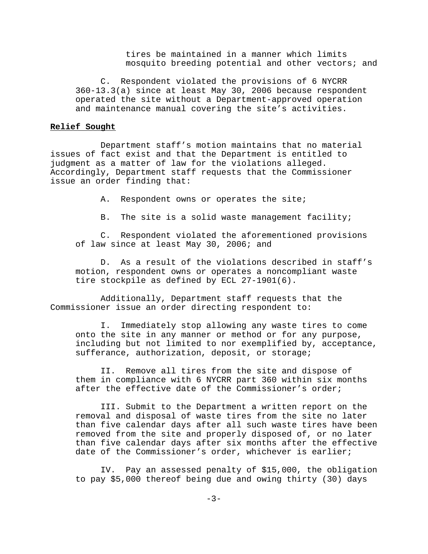tires be maintained in a manner which limits mosquito breeding potential and other vectors; and

C. Respondent violated the provisions of 6 NYCRR 360-13.3(a) since at least May 30, 2006 because respondent operated the site without a Department-approved operation and maintenance manual covering the site's activities.

## **Relief Sought**

Department staff's motion maintains that no material issues of fact exist and that the Department is entitled to judgment as a matter of law for the violations alleged. Accordingly, Department staff requests that the Commissioner issue an order finding that:

A. Respondent owns or operates the site;

B. The site is a solid waste management facility;

C. Respondent violated the aforementioned provisions of law since at least May 30, 2006; and

D. As a result of the violations described in staff's motion, respondent owns or operates a noncompliant waste tire stockpile as defined by ECL 27-1901(6).

Additionally, Department staff requests that the Commissioner issue an order directing respondent to:

I. Immediately stop allowing any waste tires to come onto the site in any manner or method or for any purpose, including but not limited to nor exemplified by, acceptance, sufferance, authorization, deposit, or storage;

II. Remove all tires from the site and dispose of them in compliance with 6 NYCRR part 360 within six months after the effective date of the Commissioner's order;

III. Submit to the Department a written report on the removal and disposal of waste tires from the site no later than five calendar days after all such waste tires have been removed from the site and properly disposed of, or no later than five calendar days after six months after the effective date of the Commissioner's order, whichever is earlier;

IV. Pay an assessed penalty of \$15,000, the obligation to pay \$5,000 thereof being due and owing thirty (30) days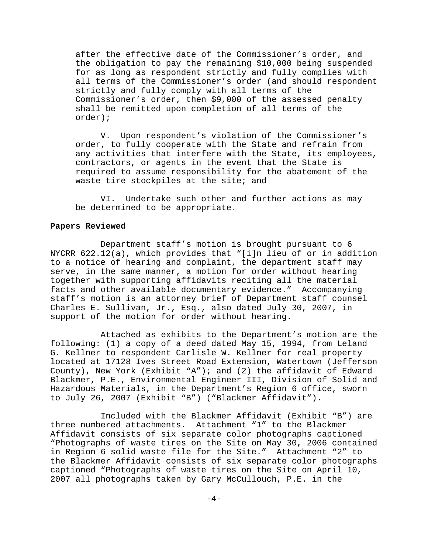after the effective date of the Commissioner's order, and the obligation to pay the remaining \$10,000 being suspended for as long as respondent strictly and fully complies with all terms of the Commissioner's order (and should respondent strictly and fully comply with all terms of the Commissioner's order, then \$9,000 of the assessed penalty shall be remitted upon completion of all terms of the order);

V. Upon respondent's violation of the Commissioner's order, to fully cooperate with the State and refrain from any activities that interfere with the State, its employees, contractors, or agents in the event that the State is required to assume responsibility for the abatement of the waste tire stockpiles at the site; and

VI. Undertake such other and further actions as may be determined to be appropriate.

## **Papers Reviewed**

Department staff's motion is brought pursuant to 6 NYCRR 622.12(a), which provides that "[i]n lieu of or in addition to a notice of hearing and complaint, the department staff may serve, in the same manner, a motion for order without hearing together with supporting affidavits reciting all the material facts and other available documentary evidence." Accompanying staff's motion is an attorney brief of Department staff counsel Charles E. Sullivan, Jr., Esq., also dated July 30, 2007, in support of the motion for order without hearing.

Attached as exhibits to the Department's motion are the following: (1) a copy of a deed dated May 15, 1994, from Leland G. Kellner to respondent Carlisle W. Kellner for real property located at 17128 Ives Street Road Extension, Watertown (Jefferson County), New York (Exhibit "A"); and (2) the affidavit of Edward Blackmer, P.E., Environmental Engineer III, Division of Solid and Hazardous Materials, in the Department's Region 6 office, sworn to July 26, 2007 (Exhibit "B") ("Blackmer Affidavit").

Included with the Blackmer Affidavit (Exhibit "B") are three numbered attachments. Attachment "1" to the Blackmer Affidavit consists of six separate color photographs captioned "Photographs of waste tires on the Site on May 30, 2006 contained in Region 6 solid waste file for the Site." Attachment "2" to the Blackmer Affidavit consists of six separate color photographs captioned "Photographs of waste tires on the Site on April 10, 2007 all photographs taken by Gary McCullouch, P.E. in the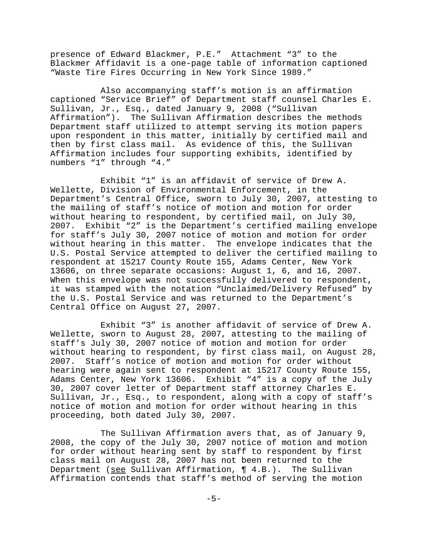presence of Edward Blackmer, P.E." Attachment "3" to the Blackmer Affidavit is a one-page table of information captioned "Waste Tire Fires Occurring in New York Since 1989."

Also accompanying staff's motion is an affirmation captioned "Service Brief" of Department staff counsel Charles E. Sullivan, Jr., Esq., dated January 9, 2008 ("Sullivan Affirmation"). The Sullivan Affirmation describes the methods Department staff utilized to attempt serving its motion papers upon respondent in this matter, initially by certified mail and then by first class mail. As evidence of this, the Sullivan Affirmation includes four supporting exhibits, identified by numbers "1" through "4."

Exhibit "1" is an affidavit of service of Drew A. Wellette, Division of Environmental Enforcement, in the Department's Central Office, sworn to July 30, 2007, attesting to the mailing of staff's notice of motion and motion for order without hearing to respondent, by certified mail, on July 30, 2007. Exhibit "2" is the Department's certified mailing envelope for staff's July 30, 2007 notice of motion and motion for order without hearing in this matter. The envelope indicates that the U.S. Postal Service attempted to deliver the certified mailing to respondent at 15217 County Route 155, Adams Center, New York 13606, on three separate occasions: August 1, 6, and 16, 2007. When this envelope was not successfully delivered to respondent, it was stamped with the notation "Unclaimed/Delivery Refused" by the U.S. Postal Service and was returned to the Department's Central Office on August 27, 2007.

Exhibit "3" is another affidavit of service of Drew A. Wellette, sworn to August 28, 2007, attesting to the mailing of staff's July 30, 2007 notice of motion and motion for order without hearing to respondent, by first class mail, on August 28, 2007. Staff's notice of motion and motion for order without hearing were again sent to respondent at 15217 County Route 155, Adams Center, New York 13606. Exhibit "4" is a copy of the July 30, 2007 cover letter of Department staff attorney Charles E. Sullivan, Jr., Esq., to respondent, along with a copy of staff's notice of motion and motion for order without hearing in this proceeding, both dated July 30, 2007.

The Sullivan Affirmation avers that, as of January 9, 2008, the copy of the July 30, 2007 notice of motion and motion for order without hearing sent by staff to respondent by first class mail on August 28, 2007 has not been returned to the Department (see Sullivan Affirmation, ¶ 4.B.). The Sullivan Affirmation contends that staff's method of serving the motion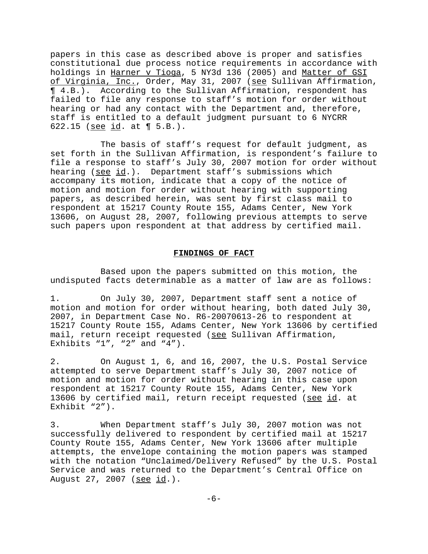papers in this case as described above is proper and satisfies constitutional due process notice requirements in accordance with holdings in Harner v Tioga, 5 NY3d 136 (2005) and Matter of GSI of Virginia, Inc., Order, May 31, 2007 (see Sullivan Affirmation, ¶ 4.B.). According to the Sullivan Affirmation, respondent has failed to file any response to staff's motion for order without hearing or had any contact with the Department and, therefore, staff is entitled to a default judgment pursuant to 6 NYCRR 622.15 (see id. at ¶ 5.B.).

The basis of staff's request for default judgment, as set forth in the Sullivan Affirmation, is respondent's failure to file a response to staff's July 30, 2007 motion for order without hearing (see id.). Department staff's submissions which accompany its motion, indicate that a copy of the notice of motion and motion for order without hearing with supporting papers, as described herein, was sent by first class mail to respondent at 15217 County Route 155, Adams Center, New York 13606, on August 28, 2007, following previous attempts to serve such papers upon respondent at that address by certified mail.

## **FINDINGS OF FACT**

Based upon the papers submitted on this motion, the undisputed facts determinable as a matter of law are as follows:

1. On July 30, 2007, Department staff sent a notice of motion and motion for order without hearing, both dated July 30, 2007, in Department Case No. R6-20070613-26 to respondent at 15217 County Route 155, Adams Center, New York 13606 by certified mail, return receipt requested (see Sullivan Affirmation, Exhibits  $"1"$ ,  $"2"$  and  $"4"$ ).

2. On August 1, 6, and 16, 2007, the U.S. Postal Service attempted to serve Department staff's July 30, 2007 notice of motion and motion for order without hearing in this case upon respondent at 15217 County Route 155, Adams Center, New York 13606 by certified mail, return receipt requested (see id. at Exhibit "2").

3. When Department staff's July 30, 2007 motion was not successfully delivered to respondent by certified mail at 15217 County Route 155, Adams Center, New York 13606 after multiple attempts, the envelope containing the motion papers was stamped with the notation "Unclaimed/Delivery Refused" by the U.S. Postal Service and was returned to the Department's Central Office on August 27, 2007 (see id.).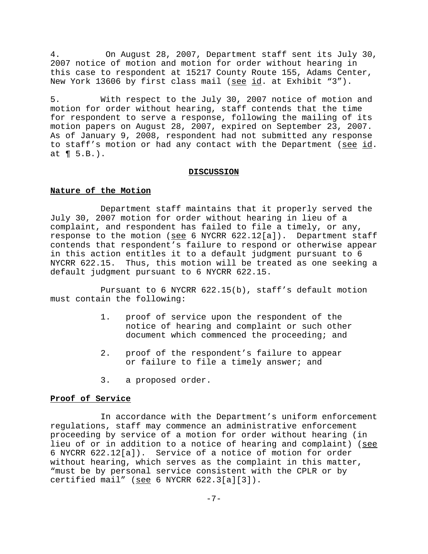4. On August 28, 2007, Department staff sent its July 30, 2007 notice of motion and motion for order without hearing in this case to respondent at 15217 County Route 155, Adams Center, New York 13606 by first class mail (see id. at Exhibit "3").

5. With respect to the July 30, 2007 notice of motion and motion for order without hearing, staff contends that the time for respondent to serve a response, following the mailing of its motion papers on August 28, 2007, expired on September 23, 2007. As of January 9, 2008, respondent had not submitted any response to staff's motion or had any contact with the Department (see id. at ¶ 5.B.).

## **DISCUSSION**

## **Nature of the Motion**

Department staff maintains that it properly served the July 30, 2007 motion for order without hearing in lieu of a complaint, and respondent has failed to file a timely, or any, response to the motion (see 6 NYCRR 622.12[a]). Department staff contends that respondent's failure to respond or otherwise appear in this action entitles it to a default judgment pursuant to 6 NYCRR 622.15. Thus, this motion will be treated as one seeking a default judgment pursuant to 6 NYCRR 622.15.

Pursuant to 6 NYCRR 622.15(b), staff's default motion must contain the following:

- 1. proof of service upon the respondent of the notice of hearing and complaint or such other document which commenced the proceeding; and
- 2. proof of the respondent's failure to appear or failure to file a timely answer; and
- 3. a proposed order.

#### **Proof of Service**

In accordance with the Department's uniform enforcement regulations, staff may commence an administrative enforcement proceeding by service of a motion for order without hearing (in lieu of or in addition to a notice of hearing and complaint) (see 6 NYCRR 622.12[a]). Service of a notice of motion for order without hearing, which serves as the complaint in this matter, "must be by personal service consistent with the CPLR or by certified mail" ( $\frac{\text{see}}{\text{See}}$  6 NYCRR 622.3[a][3]).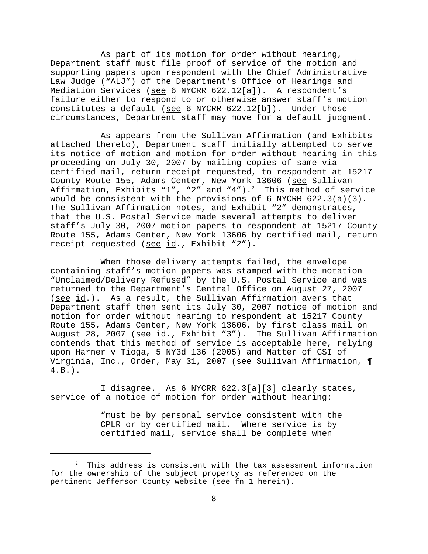As part of its motion for order without hearing, Department staff must file proof of service of the motion and supporting papers upon respondent with the Chief Administrative Law Judge ("ALJ") of the Department's Office of Hearings and Mediation Services (see 6 NYCRR 622.12[a]). A respondent's failure either to respond to or otherwise answer staff's motion constitutes a default (see 6 NYCRR 622.12[b]). Under those circumstances, Department staff may move for a default judgment.

As appears from the Sullivan Affirmation (and Exhibits attached thereto), Department staff initially attempted to serve its notice of motion and motion for order without hearing in this proceeding on July 30, 2007 by mailing copies of same via certified mail, return receipt requested, to respondent at 15217 County Route 155, Adams Center, New York 13606 (see Sullivan Affirmation, Exhibits "1", "2" and "4"). $^2$  This method of service would be consistent with the provisions of 6 NYCRR 622.3(a)(3). The Sullivan Affirmation notes, and Exhibit "2" demonstrates, that the U.S. Postal Service made several attempts to deliver staff's July 30, 2007 motion papers to respondent at 15217 County Route 155, Adams Center, New York 13606 by certified mail, return receipt requested (see id., Exhibit "2").

When those delivery attempts failed, the envelope containing staff's motion papers was stamped with the notation "Unclaimed/Delivery Refused" by the U.S. Postal Service and was returned to the Department's Central Office on August 27, 2007 (see id.). As a result, the Sullivan Affirmation avers that Department staff then sent its July 30, 2007 notice of motion and motion for order without hearing to respondent at 15217 County Route 155, Adams Center, New York 13606, by first class mail on August 28, 2007 (see id., Exhibit "3"). The Sullivan Affirmation contends that this method of service is acceptable here, relying upon Harner v Tioga, 5 NY3d 136 (2005) and Matter of GSI of Virginia, Inc., Order, May 31, 2007 (see Sullivan Affirmation, ¶ 4.B.).

I disagree. As 6 NYCRR 622.3[a][3] clearly states, service of a notice of motion for order without hearing:

> "must be by personal service consistent with the CPLR or by certified mail. Where service is by certified mail, service shall be complete when

 $^2$  This address is consistent with the tax assessment information for the ownership of the subject property as referenced on the pertinent Jefferson County website (see fn 1 herein).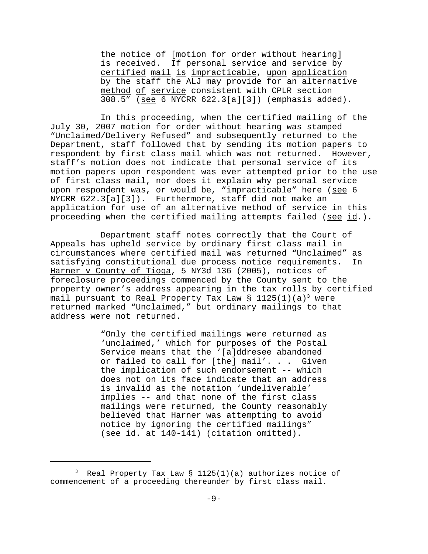the notice of [motion for order without hearing] is received. If personal service and service by certified mail is impracticable, upon application by the staff the ALJ may provide for an alternative method of service consistent with CPLR section 308.5" (see 6 NYCRR 622.3[a][3]) (emphasis added).

In this proceeding, when the certified mailing of the July 30, 2007 motion for order without hearing was stamped "Unclaimed/Delivery Refused" and subsequently returned to the Department, staff followed that by sending its motion papers to respondent by first class mail which was not returned. However, staff's motion does not indicate that personal service of its motion papers upon respondent was ever attempted prior to the use of first class mail, nor does it explain why personal service upon respondent was, or would be, "impracticable" here (see 6 NYCRR 622.3[a][3]). Furthermore, staff did not make an application for use of an alternative method of service in this proceeding when the certified mailing attempts failed (see id.).

Department staff notes correctly that the Court of Appeals has upheld service by ordinary first class mail in circumstances where certified mail was returned "Unclaimed" as satisfying constitutional due process notice requirements. In Harner v County of Tioga, 5 NY3d 136 (2005), notices of foreclosure proceedings commenced by the County sent to the property owner's address appearing in the tax rolls by certified mail pursuant to Real Property Tax Law §  $1125(1)(a)^3$  were returned marked "Unclaimed," but ordinary mailings to that address were not returned.

> "Only the certified mailings were returned as 'unclaimed,' which for purposes of the Postal Service means that the '[a]ddresee abandoned or failed to call for [the] mail'. . . Given the implication of such endorsement -- which does not on its face indicate that an address is invalid as the notation 'undeliverable' implies -- and that none of the first class mailings were returned, the County reasonably believed that Harner was attempting to avoid notice by ignoring the certified mailings" (see id. at 140-141) (citation omitted).

 $^3$  Real Property Tax Law § 1125(1)(a) authorizes notice of commencement of a proceeding thereunder by first class mail.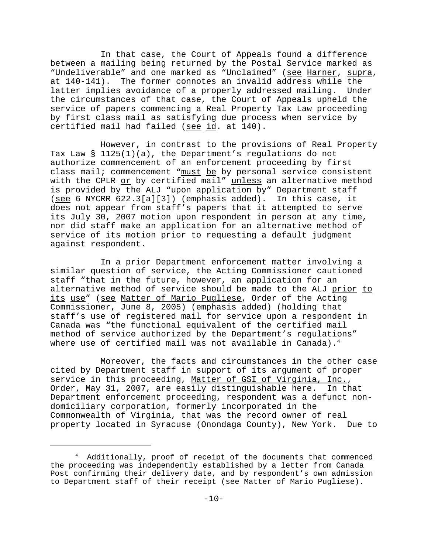In that case, the Court of Appeals found a difference between a mailing being returned by the Postal Service marked as "Undeliverable" and one marked as "Unclaimed" (see Harner, supra, at 140-141). The former connotes an invalid address while the latter implies avoidance of a properly addressed mailing. Under the circumstances of that case, the Court of Appeals upheld the service of papers commencing a Real Property Tax Law proceeding by first class mail as satisfying due process when service by certified mail had failed (see id. at 140).

However, in contrast to the provisions of Real Property Tax Law § 1125(1)(a), the Department's regulations do not authorize commencement of an enforcement proceeding by first class mail; commencement "must be by personal service consistent with the CPLR or by certified mail" unless an alternative method is provided by the ALJ "upon application by" Department staff (see 6 NYCRR 622.3[a][3]) (emphasis added). In this case, it does not appear from staff's papers that it attempted to serve its July 30, 2007 motion upon respondent in person at any time, nor did staff make an application for an alternative method of service of its motion prior to requesting a default judgment against respondent.

In a prior Department enforcement matter involving a similar question of service, the Acting Commissioner cautioned staff "that in the future, however, an application for an alternative method of service should be made to the ALJ prior to its use" (see Matter of Mario Pugliese, Order of the Acting Commissioner, June 8, 2005) (emphasis added) (holding that staff's use of registered mail for service upon a respondent in Canada was "the functional equivalent of the certified mail method of service authorized by the Department's regulations" where use of certified mail was not available in Canada). $4$ 

Moreover, the facts and circumstances in the other case cited by Department staff in support of its argument of proper service in this proceeding, Matter of GSI of Virginia, Inc., Order, May 31, 2007, are easily distinguishable here. In that Department enforcement proceeding, respondent was a defunct nondomiciliary corporation, formerly incorporated in the Commonwealth of Virginia, that was the record owner of real property located in Syracuse (Onondaga County), New York. Due to

<sup>4</sup> Additionally, proof of receipt of the documents that commenced the proceeding was independently established by a letter from Canada Post confirming their delivery date, and by respondent's own admission to Department staff of their receipt (see Matter of Mario Pugliese).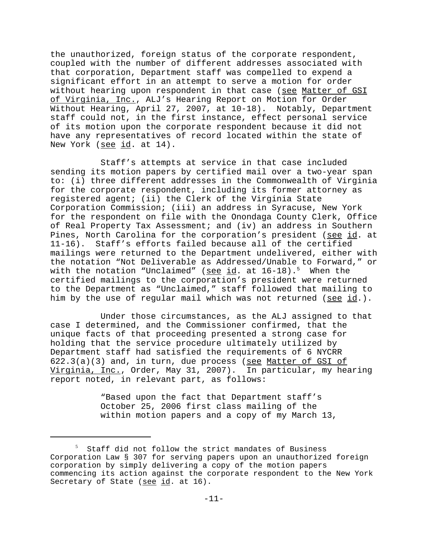the unauthorized, foreign status of the corporate respondent, coupled with the number of different addresses associated with that corporation, Department staff was compelled to expend a significant effort in an attempt to serve a motion for order without hearing upon respondent in that case (see Matter of GSI of Virginia, Inc., ALJ's Hearing Report on Motion for Order Without Hearing, April 27, 2007, at 10-18). Notably, Department staff could not, in the first instance, effect personal service of its motion upon the corporate respondent because it did not have any representatives of record located within the state of New York (see id. at 14).

Staff's attempts at service in that case included sending its motion papers by certified mail over a two-year span to: (i) three different addresses in the Commonwealth of Virginia for the corporate respondent, including its former attorney as registered agent; (ii) the Clerk of the Virginia State Corporation Commission; (iii) an address in Syracuse, New York for the respondent on file with the Onondaga County Clerk, Office of Real Property Tax Assessment; and (iv) an address in Southern Pines, North Carolina for the corporation's president (see id. at 11-16). Staff's efforts failed because all of the certified mailings were returned to the Department undelivered, either with the notation "Not Deliverable as Addressed/Unable to Forward," or with the notation "Unclaimed" (see id. at  $16-18$ ).<sup>5</sup> When the certified mailings to the corporation's president were returned to the Department as "Unclaimed," staff followed that mailing to him by the use of regular mail which was not returned (see id.).

Under those circumstances, as the ALJ assigned to that case I determined, and the Commissioner confirmed, that the unique facts of that proceeding presented a strong case for holding that the service procedure ultimately utilized by Department staff had satisfied the requirements of 6 NYCRR 622.3(a)(3) and, in turn, due process (see Matter of GSI of Virginia, Inc., Order, May 31, 2007). In particular, my hearing report noted, in relevant part, as follows:

> "Based upon the fact that Department staff's October 25, 2006 first class mailing of the within motion papers and a copy of my March 13,

<sup>&</sup>lt;sup>5</sup> Staff did not follow the strict mandates of Business Corporation Law § 307 for serving papers upon an unauthorized foreign corporation by simply delivering a copy of the motion papers commencing its action against the corporate respondent to the New York Secretary of State (see id. at 16).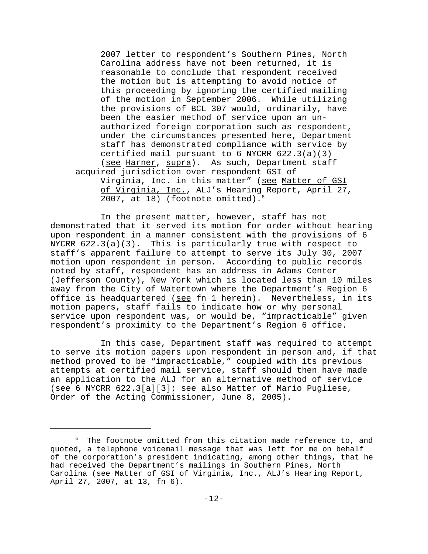2007 letter to respondent's Southern Pines, North Carolina address have not been returned, it is reasonable to conclude that respondent received the motion but is attempting to avoid notice of this proceeding by ignoring the certified mailing of the motion in September 2006. While utilizing the provisions of BCL 307 would, ordinarily, have been the easier method of service upon an unauthorized foreign corporation such as respondent, under the circumstances presented here, Department staff has demonstrated compliance with service by certified mail pursuant to 6 NYCRR 622.3(a)(3) (see Harner, supra). As such, Department staff acquired jurisdiction over respondent GSI of Virginia, Inc. in this matter" (see Matter of GSI of Virginia, Inc., ALJ's Hearing Report, April 27,

2007, at 18) (footnote omitted).<sup>6</sup>

In the present matter, however, staff has not demonstrated that it served its motion for order without hearing upon respondent in a manner consistent with the provisions of 6 NYCRR  $622.3(a)(3)$ . This is particularly true with respect to staff's apparent failure to attempt to serve its July 30, 2007 motion upon respondent in person. According to public records noted by staff, respondent has an address in Adams Center (Jefferson County), New York which is located less than 10 miles away from the City of Watertown where the Department's Region 6 office is headquartered (see fn 1 herein). Nevertheless, in its motion papers, staff fails to indicate how or why personal service upon respondent was, or would be, "impracticable" given respondent's proximity to the Department's Region 6 office.

In this case, Department staff was required to attempt to serve its motion papers upon respondent in person and, if that method proved to be "impracticable," coupled with its previous attempts at certified mail service, staff should then have made an application to the ALJ for an alternative method of service (see 6 NYCRR 622.3[a][3]; see also Matter of Mario Pugliese, Order of the Acting Commissioner, June 8, 2005).

 $^6$  The footnote omitted from this citation made reference to, and quoted, a telephone voicemail message that was left for me on behalf of the corporation's president indicating, among other things, that he had received the Department's mailings in Southern Pines, North Carolina (see Matter of GSI of Virginia, Inc., ALJ's Hearing Report, April 27, 2007, at 13, fn 6).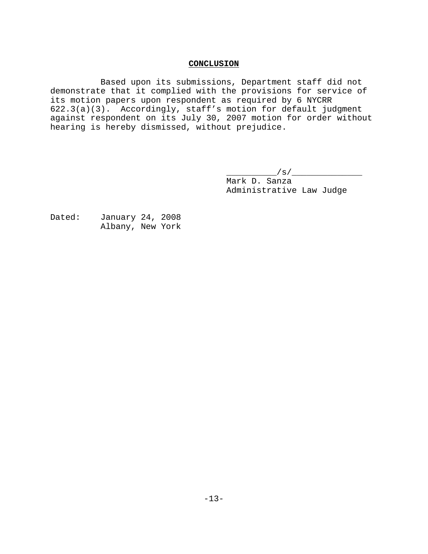## **CONCLUSION**

Based upon its submissions, Department staff did not demonstrate that it complied with the provisions for service of its motion papers upon respondent as required by 6 NYCRR 622.3(a)(3). Accordingly, staff's motion for default judgment against respondent on its July 30, 2007 motion for order without hearing is hereby dismissed, without prejudice.

> \_\_\_\_\_\_\_\_\_\_/s/\_\_\_\_\_\_\_\_\_\_\_\_\_\_ Mark D. Sanza Administrative Law Judge

Dated: January 24, 2008 Albany, New York